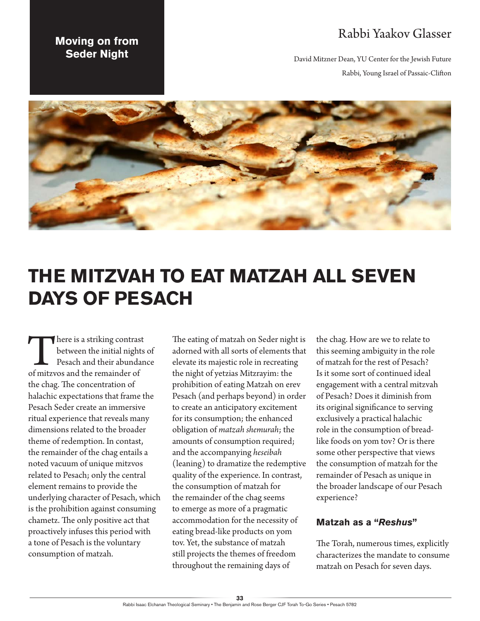## Rabbi Yaakov Glasser

David Mitzner Dean, YU Center for the Jewish Future Rabbi, Young Israel of Passaic-Clifton

## **Moving on from Seder Night**



## **THE MITZVAH TO EAT MATZAH ALL SEVEN DAYS OF PESACH**

There is a striking contrast<br>between the initial nights<br>Pesach and their abundan<br>of mitzvos and the remainder of between the initial nights of Pesach and their abundance the chag. The concentration of halachic expectations that frame the Pesach Seder create an immersive ritual experience that reveals many dimensions related to the broader theme of redemption. In contast, the remainder of the chag entails a noted vacuum of unique mitzvos related to Pesach; only the central element remains to provide the underlying character of Pesach, which is the prohibition against consuming chametz. The only positive act that proactively infuses this period with a tone of Pesach is the voluntary consumption of matzah.

The eating of matzah on Seder night is adorned with all sorts of elements that elevate its majestic role in recreating the night of yetzias Mitzrayim: the prohibition of eating Matzah on erev Pesach (and perhaps beyond) in order to create an anticipatory excitement for its consumption; the enhanced obligation of *matzah shemurah*; the amounts of consumption required; and the accompanying *heseibah* (leaning) to dramatize the redemptive quality of the experience. In contrast, the consumption of matzah for the remainder of the chag seems to emerge as more of a pragmatic accommodation for the necessity of eating bread-like products on yom tov. Yet, the substance of matzah still projects the themes of freedom throughout the remaining days of

the chag. How are we to relate to this seeming ambiguity in the role of matzah for the rest of Pesach? Is it some sort of continued ideal engagement with a central mitzvah of Pesach? Does it diminish from its original significance to serving exclusively a practical halachic role in the consumption of breadlike foods on yom tov? Or is there some other perspective that views the consumption of matzah for the remainder of Pesach as unique in the broader landscape of our Pesach experience?

## **Matzah as a "***Reshus***"**

The Torah, numerous times, explicitly characterizes the mandate to consume matzah on Pesach for seven days.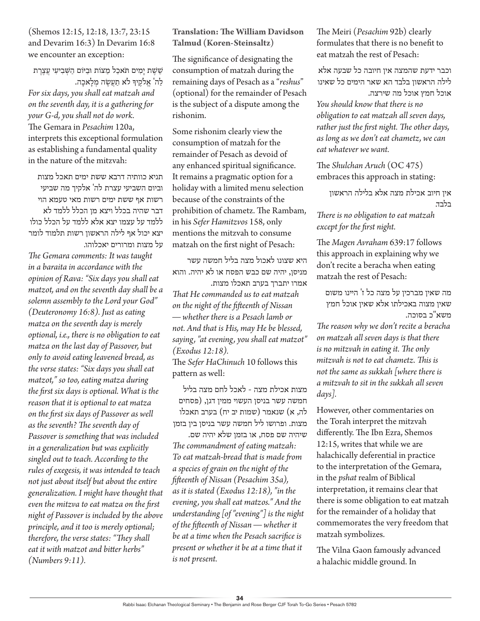(Shemos 12:15, 12:18, 13:7, 23:15 and Devarim 16:3) In Devarim 16:8 we encounter an exception:

ֵששֶ ת יָמִ ים תֹאכַ ל מַ ּצֹות ּובַ ּיֹום הַ שְ בִ יעִ י עֲ צֶ רֶ ת לַה' אֱלֹקֵיךְּ לֹא תַעֲשֶׂה מְלַאכָה.

*For six days, you shall eat matzah and on the seventh day, it is a gathering for your G-d, you shall not do work.* The Gemara in *Pesachim* 120a, interprets this exceptional formulation as establishing a fundamental quality in the nature of the mitzvah:

תניא כוותיה דרבא ששת ימים תאכל מצות וביום השביעי עצרת לה' אלקיך מה שביעי רשות אף ששת ימים רשות מאי טעמא הוי דבר שהיה בכלל ויצא מן הכלל ללמד לא ללמד על עצמו יצא אלא ללמד על הכלל כולו יצא יכול אף לילה הראשון רשות תלמוד לומר על מצות ומרורים יאכלוהו.

*The Gemara comments: It was taught in a baraita in accordance with the opinion of Rava: "Six days you shall eat matzot, and on the seventh day shall be a solemn assembly to the Lord your God" (Deuteronomy 16:8). Just as eating matza on the seventh day is merely optional, i.e., there is no obligation to eat matza on the last day of Passover, but only to avoid eating leavened bread, as the verse states: "Six days you shall eat matzot," so too, eating matza during the first six days is optional. What is the reason that it is optional to eat matza on the first six days of Passover as well as the seventh? The seventh day of Passover is something that was included in a generalization but was explicitly singled out to teach. According to the rules of exegesis, it was intended to teach not just about itself but about the entire generalization. I might have thought that even the mitzva to eat matza on the first night of Passover is included by the above principle, and it too is merely optional; therefore, the verse states: "They shall eat it with matzot and bitter herbs" (Numbers 9:11).* 

**Translation: The William Davidson Talmud (Koren-Steinsaltz)**

The significance of designating the consumption of matzah during the remaining days of Pesach as a "*reshus*" (optional) for the remainder of Pesach is the subject of a dispute among the rishonim.

Some rishonim clearly view the consumption of matzah for the remainder of Pesach as devoid of any enhanced spiritual significance. It remains a pragmatic option for a holiday with a limited menu selection because of the constraints of the prohibition of chametz. The Rambam, in his *Sefer Hamitzvos* 158, only mentions the mitzvah to consume matzah on the first night of Pesach:

היא שצונו לאכול מצה בליל חמשה עשר מניסן, יהיה שם כבש הפסח או לא יהיה. והוא אמרו יתברך בערב תאכלו מצות. *That He commanded us to eat matzah on the night of the fifteenth of Nissan — whether there is a Pesach lamb or not. And that is His, may He be blessed, saying, "at evening, you shall eat matzot" (Exodus 12:18).* The *Sefer HaChinuch* 10 follows this

pattern as well:

מצות אכילת מצה - לאכל לחם מצה בליל חמשה עשר בניסן העשוי ממין דגן, )פסחים לה, א) שנאמר (שמות יב יח) בערב תאכלו מצות. ופרושו ליל חמשה עשר בניסן בין בזמן

שיהיה שם פסח, או בזמן שלא יהיה שם. *The commandment of eating matzah: To eat matzah-bread that is made from a species of grain on the night of the fifteenth of Nissan (Pesachim 35a), as it is stated (Exodus 12:18), "in the evening, you shall eat matzos." And the understanding [of "evening"] is the night of the fifteenth of Nissan — whether it be at a time when the Pesach sacrifice is present or whether it be at a time that it is not present.*

The Meiri (*Pesachim* 92b) clearly formulates that there is no benefit to eat matzah the rest of Pesach:

וכבר ידעת שהמצה אין חיובה כל שבעה אלא לילה הראשון בלבד הא שאר הימים כל שאינו אוכל חמץ אוכל מה שירצה. *You should know that there is no obligation to eat matzah all seven days, rather just the first night. The other days, as long as we don't eat chametz, we can eat whatever we want.*

The *Shulchan Aruch* (OC 475) embraces this approach in stating:

אין חיוב אכילת מצה אלא בלילה הראשון בלבד.

*There is no obligation to eat matzah except for the first night.*

The *Magen Avraham* 639:17 follows this approach in explaining why we don't recite a beracha when eating matzah the rest of Pesach:

מה שאין מברכין על מצה כל ז' היינו משום שאין מצוה באכילתו אלא שאין אוכל חמץ משא"כ בסוכה.

*The reason why we don't recite a beracha on matzah all seven days is that there is no mitzvah in eating it. The only mitzvah is not to eat chametz. This is not the same as sukkah [where there is a mitzvah to sit in the sukkah all seven days].* 

However, other commentaries on the Torah interpret the mitzvah differently. The Ibn Ezra, Shemos 12:15, writes that while we are halachically deferential in practice to the interpretation of the Gemara, in the *pshat* realm of Biblical interpretation, it remains clear that there is some obligation to eat matzah for the remainder of a holiday that commemorates the very freedom that matzah symbolizes.

The Vilna Gaon famously advanced a halachic middle ground. In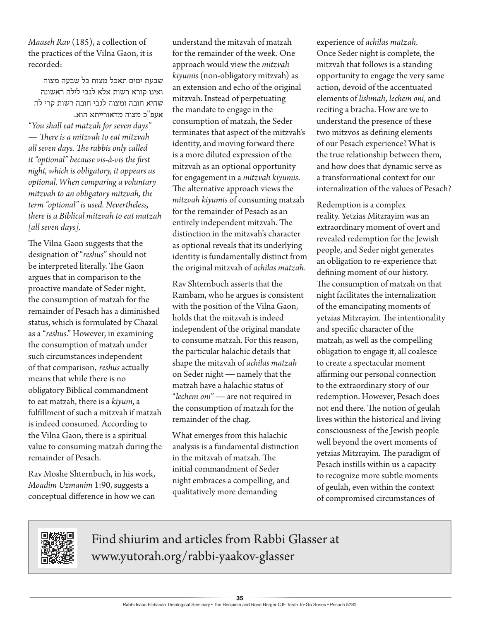*Maaseh Rav* (185), a collection of the practices of the Vilna Gaon, it is recorded:

שבעת ימים תאכל מצות כל שבעה מצוה ואינו קורא רשות אלא לגבי לילה ראשונה שהיא חובה ומצוה לגבי חובה רשות קרי לה אעפ"כ מצוה מדאורייתא הוא. *"You shall eat matzah for seven days" — There is a mitzvah to eat mitzvah all seven days. The rabbis only called it "optional" because vis-à-vis the first night, which is obligatory, it appears as optional. When comparing a voluntary mitzvah to an obligatory mitzvah, the term "optional" is used. Nevertheless, there is a Biblical mitzvah to eat matzah [all seven days].*

The Vilna Gaon suggests that the designation of "*reshus*" should not be interpreted literally. The Gaon argues that in comparison to the proactive mandate of Seder night, the consumption of matzah for the remainder of Pesach has a diminished status, which is formulated by Chazal as a "*reshus*." However, in examining the consumption of matzah under such circumstances independent of that comparison, *reshus* actually means that while there is no obligatory Biblical commandment to eat matzah, there is a *kiyum*, a fulfillment of such a mitzvah if matzah is indeed consumed. According to the Vilna Gaon, there is a spiritual value to consuming matzah during the remainder of Pesach.

Rav Moshe Shternbuch, in his work, *Moadim Uzmanim* 1:90, suggests a conceptual difference in how we can

understand the mitzvah of matzah for the remainder of the week. One approach would view the *mitzvah kiyumis* (non-obligatory mitzvah) as an extension and echo of the original mitzvah. Instead of perpetuating the mandate to engage in the consumption of matzah, the Seder terminates that aspect of the mitzvah's identity, and moving forward there is a more diluted expression of the mitzvah as an optional opportunity for engagement in a *mitzvah kiyumis*. The alternative approach views the *mitzvah kiyumis* of consuming matzah for the remainder of Pesach as an entirely independent mitzvah. The distinction in the mitzvah's character as optional reveals that its underlying identity is fundamentally distinct from the original mitzvah of *achilas matzah*.

Rav Shternbuch asserts that the Rambam, who he argues is consistent with the position of the Vilna Gaon, holds that the mitzvah is indeed independent of the original mandate to consume matzah. For this reason, the particular halachic details that shape the mitzvah of *achilas matzah* on Seder night — namely that the matzah have a halachic status of "*lechem oni*" — are not required in the consumption of matzah for the remainder of the chag.

What emerges from this halachic analysis is a fundamental distinction in the mitzvah of matzah. The initial commandment of Seder night embraces a compelling, and qualitatively more demanding

experience of *achilas matzah*. Once Seder night is complete, the mitzvah that follows is a standing opportunity to engage the very same action, devoid of the accentuated elements of *lishmah*, *lechem oni*, and reciting a bracha. How are we to understand the presence of these two mitzvos as defining elements of our Pesach experience? What is the true relationship between them, and how does that dynamic serve as a transformational context for our internalization of the values of Pesach?

Redemption is a complex reality. Yetzias Mitzrayim was an extraordinary moment of overt and revealed redemption for the Jewish people, and Seder night generates an obligation to re-experience that defining moment of our history. The consumption of matzah on that night facilitates the internalization of the emancipating moments of yetzias Mitzrayim. The intentionality and specific character of the matzah, as well as the compelling obligation to engage it, all coalesce to create a spectacular moment affirming our personal connection to the extraordinary story of our redemption. However, Pesach does not end there. The notion of geulah lives within the historical and living consciousness of the Jewish people well beyond the overt moments of yetzias Mitzrayim. The paradigm of Pesach instills within us a capacity to recognize more subtle moments of geulah, even within the context of compromised circumstances of



Find shiurim and articles from Rabbi Glasser at www.yutorah.org/rabbi-yaakov-glasser